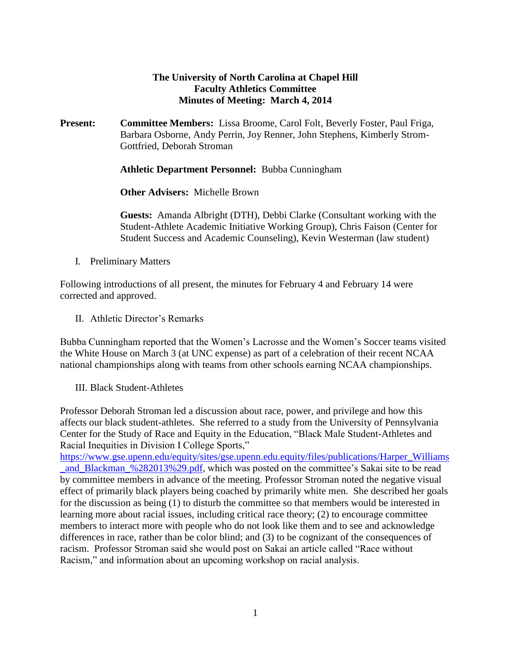## **The University of North Carolina at Chapel Hill Faculty Athletics Committee Minutes of Meeting: March 4, 2014**

**Present: Committee Members:** Lissa Broome, Carol Folt, Beverly Foster, Paul Friga, Barbara Osborne, Andy Perrin, Joy Renner, John Stephens, Kimberly Strom-Gottfried, Deborah Stroman

**Athletic Department Personnel:** Bubba Cunningham

**Other Advisers:** Michelle Brown

**Guests:** Amanda Albright (DTH), Debbi Clarke (Consultant working with the Student-Athlete Academic Initiative Working Group), Chris Faison (Center for Student Success and Academic Counseling), Kevin Westerman (law student)

I. Preliminary Matters

Following introductions of all present, the minutes for February 4 and February 14 were corrected and approved.

II. Athletic Director's Remarks

Bubba Cunningham reported that the Women's Lacrosse and the Women's Soccer teams visited the White House on March 3 (at UNC expense) as part of a celebration of their recent NCAA national championships along with teams from other schools earning NCAA championships.

III. Black Student-Athletes

Professor Deborah Stroman led a discussion about race, power, and privilege and how this affects our black student-athletes. She referred to a study from the University of Pennsylvania Center for the Study of Race and Equity in the Education, "Black Male Student-Athletes and Racial Inequities in Division I College Sports,"

[https://www.gse.upenn.edu/equity/sites/gse.upenn.edu.equity/files/publications/Harper\\_Williams](https://www.gse.upenn.edu/equity/sites/gse.upenn.edu.equity/files/publications/Harper_Williams_and_Blackman_%282013%29.pdf) and Blackman %282013%29.pdf, which was posted on the committee's Sakai site to be read by committee members in advance of the meeting. Professor Stroman noted the negative visual effect of primarily black players being coached by primarily white men. She described her goals for the discussion as being (1) to disturb the committee so that members would be interested in learning more about racial issues, including critical race theory; (2) to encourage committee members to interact more with people who do not look like them and to see and acknowledge differences in race, rather than be color blind; and (3) to be cognizant of the consequences of racism. Professor Stroman said she would post on Sakai an article called "Race without Racism," and information about an upcoming workshop on racial analysis.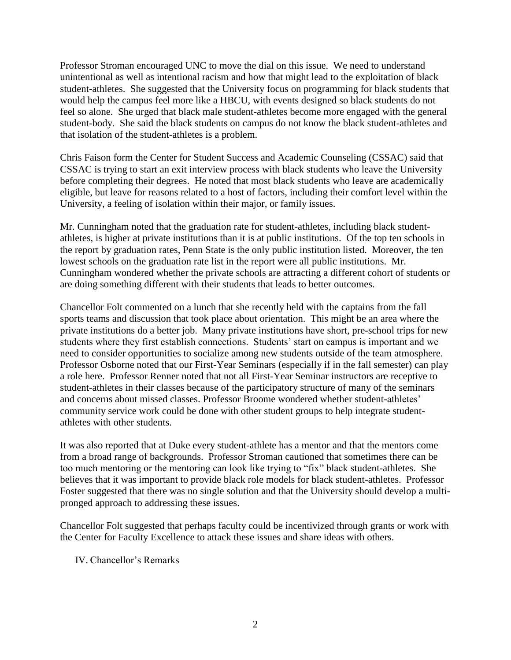Professor Stroman encouraged UNC to move the dial on this issue. We need to understand unintentional as well as intentional racism and how that might lead to the exploitation of black student-athletes. She suggested that the University focus on programming for black students that would help the campus feel more like a HBCU, with events designed so black students do not feel so alone. She urged that black male student-athletes become more engaged with the general student-body. She said the black students on campus do not know the black student-athletes and that isolation of the student-athletes is a problem.

Chris Faison form the Center for Student Success and Academic Counseling (CSSAC) said that CSSAC is trying to start an exit interview process with black students who leave the University before completing their degrees. He noted that most black students who leave are academically eligible, but leave for reasons related to a host of factors, including their comfort level within the University, a feeling of isolation within their major, or family issues.

Mr. Cunningham noted that the graduation rate for student-athletes, including black studentathletes, is higher at private institutions than it is at public institutions. Of the top ten schools in the report by graduation rates, Penn State is the only public institution listed. Moreover, the ten lowest schools on the graduation rate list in the report were all public institutions. Mr. Cunningham wondered whether the private schools are attracting a different cohort of students or are doing something different with their students that leads to better outcomes.

Chancellor Folt commented on a lunch that she recently held with the captains from the fall sports teams and discussion that took place about orientation. This might be an area where the private institutions do a better job. Many private institutions have short, pre-school trips for new students where they first establish connections. Students' start on campus is important and we need to consider opportunities to socialize among new students outside of the team atmosphere. Professor Osborne noted that our First-Year Seminars (especially if in the fall semester) can play a role here. Professor Renner noted that not all First-Year Seminar instructors are receptive to student-athletes in their classes because of the participatory structure of many of the seminars and concerns about missed classes. Professor Broome wondered whether student-athletes' community service work could be done with other student groups to help integrate studentathletes with other students.

It was also reported that at Duke every student-athlete has a mentor and that the mentors come from a broad range of backgrounds. Professor Stroman cautioned that sometimes there can be too much mentoring or the mentoring can look like trying to "fix" black student-athletes. She believes that it was important to provide black role models for black student-athletes. Professor Foster suggested that there was no single solution and that the University should develop a multipronged approach to addressing these issues.

Chancellor Folt suggested that perhaps faculty could be incentivized through grants or work with the Center for Faculty Excellence to attack these issues and share ideas with others.

IV. Chancellor's Remarks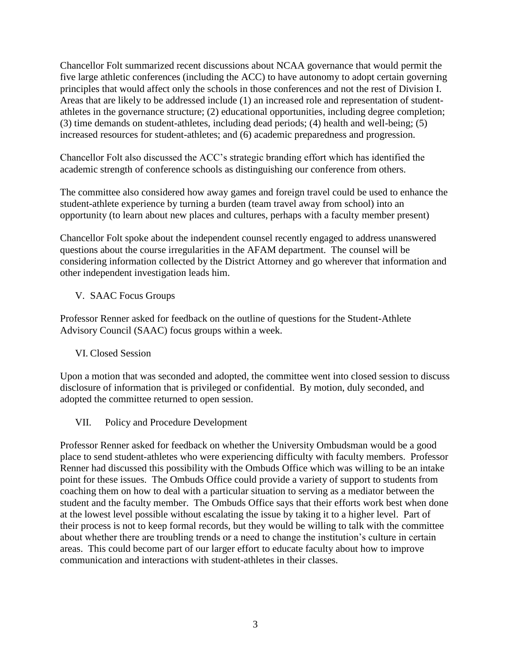Chancellor Folt summarized recent discussions about NCAA governance that would permit the five large athletic conferences (including the ACC) to have autonomy to adopt certain governing principles that would affect only the schools in those conferences and not the rest of Division I. Areas that are likely to be addressed include (1) an increased role and representation of studentathletes in the governance structure; (2) educational opportunities, including degree completion; (3) time demands on student-athletes, including dead periods; (4) health and well-being; (5) increased resources for student-athletes; and (6) academic preparedness and progression.

Chancellor Folt also discussed the ACC's strategic branding effort which has identified the academic strength of conference schools as distinguishing our conference from others.

The committee also considered how away games and foreign travel could be used to enhance the student-athlete experience by turning a burden (team travel away from school) into an opportunity (to learn about new places and cultures, perhaps with a faculty member present)

Chancellor Folt spoke about the independent counsel recently engaged to address unanswered questions about the course irregularities in the AFAM department. The counsel will be considering information collected by the District Attorney and go wherever that information and other independent investigation leads him.

## V. SAAC Focus Groups

Professor Renner asked for feedback on the outline of questions for the Student-Athlete Advisory Council (SAAC) focus groups within a week.

## VI. Closed Session

Upon a motion that was seconded and adopted, the committee went into closed session to discuss disclosure of information that is privileged or confidential. By motion, duly seconded, and adopted the committee returned to open session.

## VII. Policy and Procedure Development

Professor Renner asked for feedback on whether the University Ombudsman would be a good place to send student-athletes who were experiencing difficulty with faculty members. Professor Renner had discussed this possibility with the Ombuds Office which was willing to be an intake point for these issues. The Ombuds Office could provide a variety of support to students from coaching them on how to deal with a particular situation to serving as a mediator between the student and the faculty member. The Ombuds Office says that their efforts work best when done at the lowest level possible without escalating the issue by taking it to a higher level. Part of their process is not to keep formal records, but they would be willing to talk with the committee about whether there are troubling trends or a need to change the institution's culture in certain areas. This could become part of our larger effort to educate faculty about how to improve communication and interactions with student-athletes in their classes.